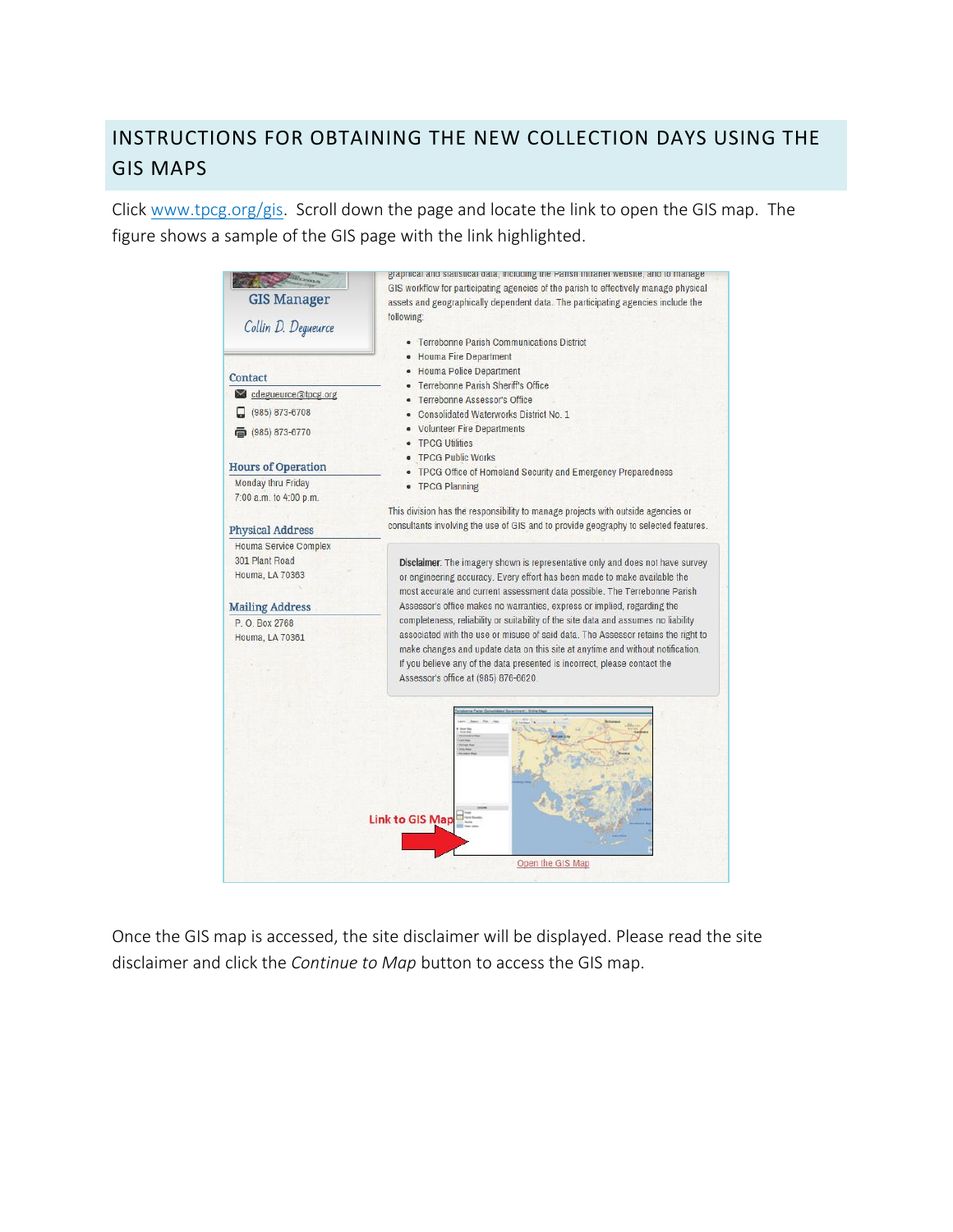## INSTRUCTIONS FOR OBTAINING THE NEW COLLECTION DAYS USING THE GIS MAPS

Click [www.tpcg.org/gis.](http://www.tpcg.org/gis) Scroll down the page and locate the link to open the GIS map. The figure shows a sample of the GIS page with the link highlighted.



Once the GIS map is accessed, the site disclaimer will be displayed. Please read the site disclaimer and click the *Continue to Map* button to access the GIS map.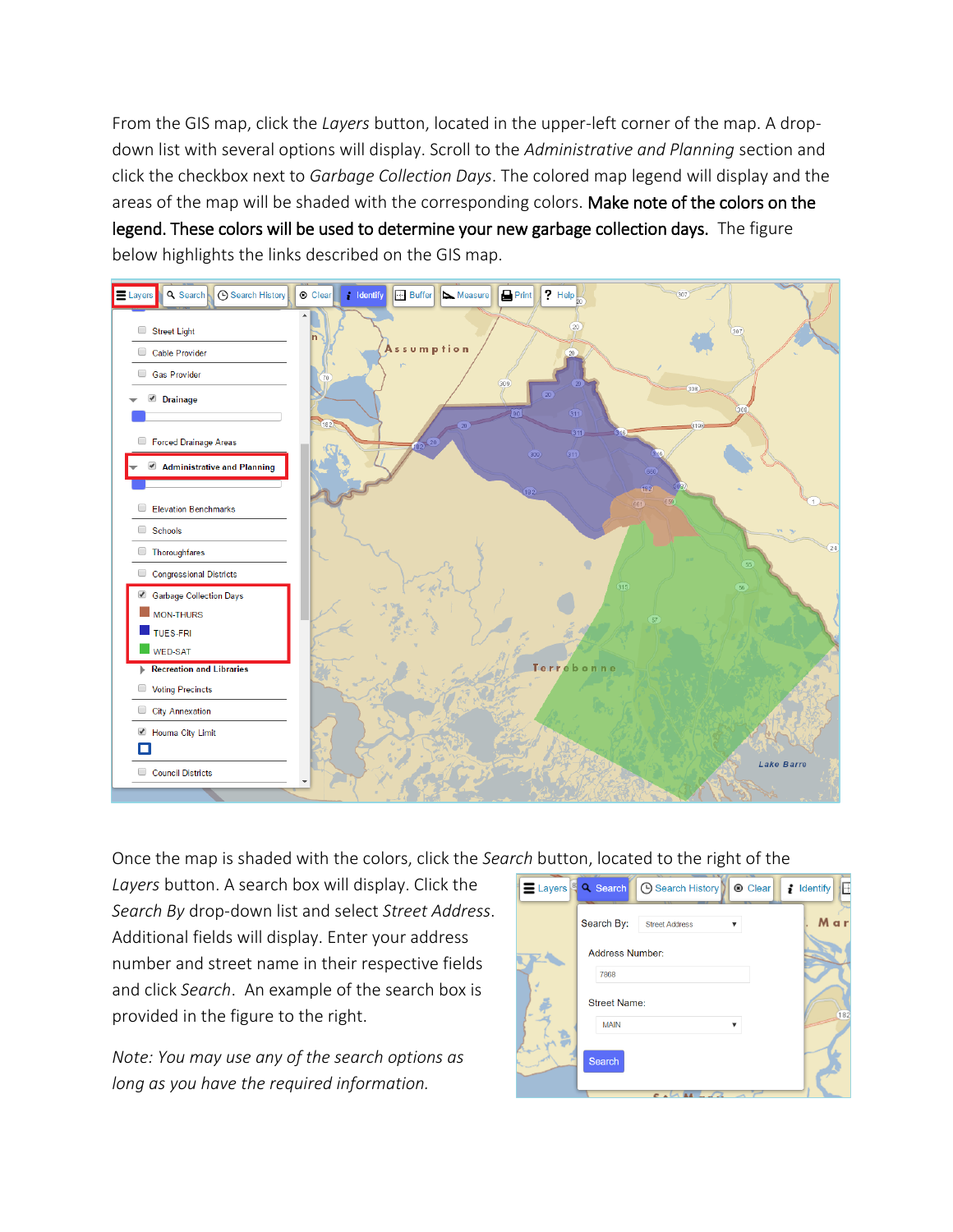From the GIS map, click the *Layers* button, located in the upper-left corner of the map. A dropdown list with several options will display. Scroll to the *Administrative and Planning* section and click the checkbox next to *Garbage Collection Days*. The colored map legend will display and the areas of the map will be shaded with the corresponding colors. Make note of the colors on the legend. These colors will be used to determine your new garbage collection days. The figure below highlights the links described on the GIS map.



Once the map is shaded with the colors, click the *Search* button, located to the right of the

*Layers* button. A search box will display. Click the *Search By* drop-down list and select *Street Address*. Additional fields will display. Enter your address number and street name in their respective fields and click *Search*. An example of the search box is provided in the figure to the right.

*Note: You may use any of the search options as long as you have the required information.*

|  | E Layers <sup>8</sup> Q Search<br><b>4</b> Search History<br><b>®</b> Clear | F<br>$\ddot{i}$ Identify |
|--|-----------------------------------------------------------------------------|--------------------------|
|  | Search By:<br><b>Street Address</b><br>$\overline{\mathbf{v}}$              | Mar                      |
|  | <b>Address Number:</b><br>7868                                              |                          |
|  | <b>Street Name:</b>                                                         | 182                      |
|  | <b>MAIN</b><br>v<br><b>Search</b>                                           |                          |
|  | $\overline{c}$ is                                                           |                          |